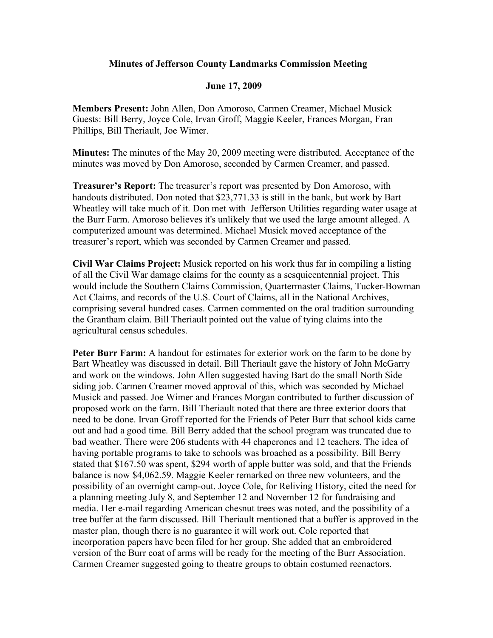## **Minutes of Jefferson County Landmarks Commission Meeting**

## **June 17, 2009**

**Members Present:** John Allen, Don Amoroso, Carmen Creamer, Michael Musick Guests: Bill Berry, Joyce Cole, Irvan Groff, Maggie Keeler, Frances Morgan, Fran Phillips, Bill Theriault, Joe Wimer.

**Minutes:** The minutes of the May 20, 2009 meeting were distributed. Acceptance of the minutes was moved by Don Amoroso, seconded by Carmen Creamer, and passed.

**Treasurer's Report:** The treasurer's report was presented by Don Amoroso, with handouts distributed. Don noted that \$23,771.33 is still in the bank, but work by Bart Wheatley will take much of it. Don met with Jefferson Utilities regarding water usage at the Burr Farm. Amoroso believes it's unlikely that we used the large amount alleged. A computerized amount was determined. Michael Musick moved acceptance of the treasurer's report, which was seconded by Carmen Creamer and passed.

**Civil War Claims Project:** Musick reported on his work thus far in compiling a listing of all the Civil War damage claims for the county as a sesquicentennial project. This would include the Southern Claims Commission, Quartermaster Claims, Tucker-Bowman Act Claims, and records of the U.S. Court of Claims, all in the National Archives, comprising several hundred cases. Carmen commented on the oral tradition surrounding the Grantham claim. Bill Theriault pointed out the value of tying claims into the agricultural census schedules.

**Peter Burr Farm:** A handout for estimates for exterior work on the farm to be done by Bart Wheatley was discussed in detail. Bill Theriault gave the history of John McGarry and work on the windows. John Allen suggested having Bart do the small North Side siding job. Carmen Creamer moved approval of this, which was seconded by Michael Musick and passed. Joe Wimer and Frances Morgan contributed to further discussion of proposed work on the farm. Bill Theriault noted that there are three exterior doors that need to be done. Irvan Groff reported for the Friends of Peter Burr that school kids came out and had a good time. Bill Berry added that the school program was truncated due to bad weather. There were 206 students with 44 chaperones and 12 teachers. The idea of having portable programs to take to schools was broached as a possibility. Bill Berry stated that \$167.50 was spent, \$294 worth of apple butter was sold, and that the Friends balance is now \$4,062.59. Maggie Keeler remarked on three new volunteers, and the possibility of an overnight camp-out. Joyce Cole, for Reliving History, cited the need for a planning meeting July 8, and September 12 and November 12 for fundraising and media. Her e-mail regarding American chesnut trees was noted, and the possibility of a tree buffer at the farm discussed. Bill Theriault mentioned that a buffer is approved in the master plan, though there is no guarantee it will work out. Cole reported that incorporation papers have been filed for her group. She added that an embroidered version of the Burr coat of arms will be ready for the meeting of the Burr Association. Carmen Creamer suggested going to theatre groups to obtain costumed reenactors.